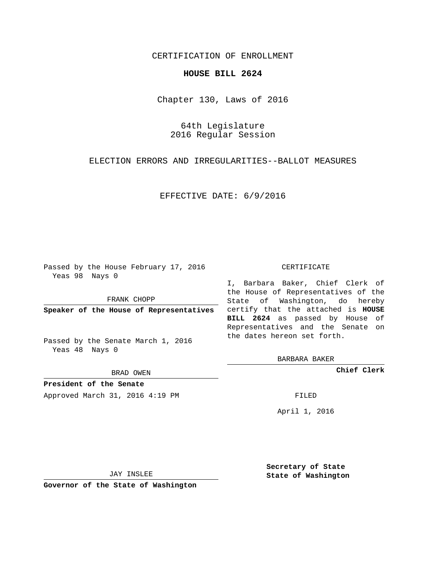## CERTIFICATION OF ENROLLMENT

## **HOUSE BILL 2624**

Chapter 130, Laws of 2016

64th Legislature 2016 Regular Session

ELECTION ERRORS AND IRREGULARITIES--BALLOT MEASURES

EFFECTIVE DATE: 6/9/2016

Passed by the House February 17, 2016 Yeas 98 Nays 0

FRANK CHOPP

Passed by the Senate March 1, 2016 Yeas 48 Nays 0

BRAD OWEN

**President of the Senate**

Approved March 31, 2016 4:19 PM FILED

## CERTIFICATE

**Speaker of the House of Representatives** certify that the attached is **HOUSE** I, Barbara Baker, Chief Clerk of the House of Representatives of the State of Washington, do hereby **BILL 2624** as passed by House of Representatives and the Senate on the dates hereon set forth.

BARBARA BAKER

**Chief Clerk**

April 1, 2016

JAY INSLEE

**Governor of the State of Washington**

**Secretary of State State of Washington**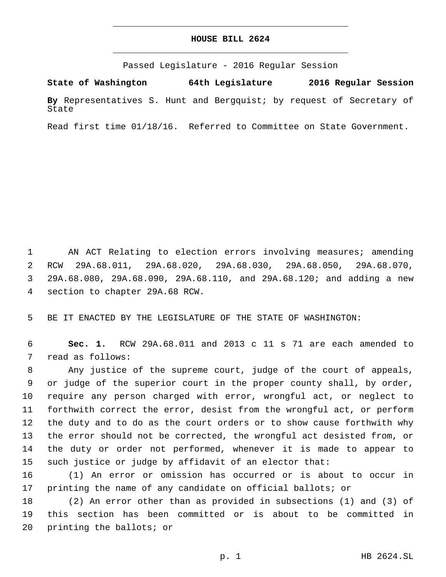## **HOUSE BILL 2624**

Passed Legislature - 2016 Regular Session

**State of Washington 64th Legislature 2016 Regular Session By** Representatives S. Hunt and Bergquist; by request of Secretary of State

Read first time 01/18/16. Referred to Committee on State Government.

 AN ACT Relating to election errors involving measures; amending RCW 29A.68.011, 29A.68.020, 29A.68.030, 29A.68.050, 29A.68.070, 29A.68.080, 29A.68.090, 29A.68.110, and 29A.68.120; and adding a new 4 section to chapter 29A.68 RCW.

BE IT ENACTED BY THE LEGISLATURE OF THE STATE OF WASHINGTON:

 **Sec. 1.** RCW 29A.68.011 and 2013 c 11 s 71 are each amended to 7 read as follows:

 Any justice of the supreme court, judge of the court of appeals, or judge of the superior court in the proper county shall, by order, require any person charged with error, wrongful act, or neglect to forthwith correct the error, desist from the wrongful act, or perform the duty and to do as the court orders or to show cause forthwith why the error should not be corrected, the wrongful act desisted from, or the duty or order not performed, whenever it is made to appear to such justice or judge by affidavit of an elector that:

 (1) An error or omission has occurred or is about to occur in printing the name of any candidate on official ballots; or

 (2) An error other than as provided in subsections (1) and (3) of this section has been committed or is about to be committed in 20 printing the ballots; or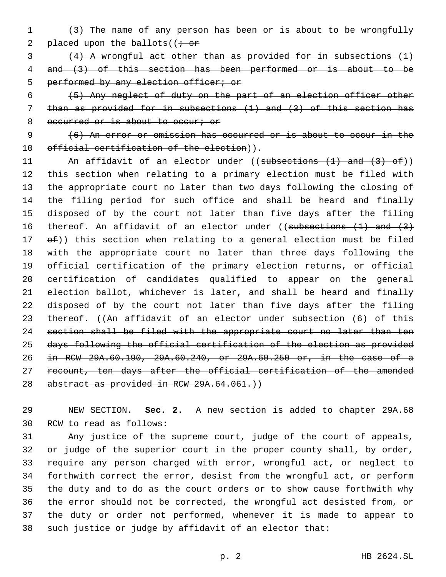(3) The name of any person has been or is about to be wrongfully 2 placed upon the ballots( $(i - or$ 

 (4) A wrongful act other than as provided for in subsections (1) and (3) of this section has been performed or is about to be 5 performed by any election officer; or

 (5) Any neglect of duty on the part of an election officer other than as provided for in subsections (1) and (3) of this section has 8 occurred or is about to occur; or

 (6) An error or omission has occurred or is about to occur in the 10 official certification of the election)).

11 An affidavit of an elector under ((subsections (1) and (3) of)) this section when relating to a primary election must be filed with the appropriate court no later than two days following the closing of the filing period for such office and shall be heard and finally disposed of by the court not later than five days after the filing 16 thereof. An affidavit of an elector under ((subsections (1) and (3)  $ef()$  this section when relating to a general election must be filed with the appropriate court no later than three days following the official certification of the primary election returns, or official certification of candidates qualified to appear on the general election ballot, whichever is later, and shall be heard and finally disposed of by the court not later than five days after the filing 23 thereof. ((An affidavit of an elector under subsection (6) of this section shall be filed with the appropriate court no later than ten days following the official certification of the election as provided in RCW 29A.60.190, 29A.60.240, or 29A.60.250 or, in the case of a recount, ten days after the official certification of the amended 28 abstract as provided in RCW 29A.64.061.)

 NEW SECTION. **Sec. 2.** A new section is added to chapter 29A.68 30 RCW to read as follows:

 Any justice of the supreme court, judge of the court of appeals, or judge of the superior court in the proper county shall, by order, require any person charged with error, wrongful act, or neglect to forthwith correct the error, desist from the wrongful act, or perform the duty and to do as the court orders or to show cause forthwith why the error should not be corrected, the wrongful act desisted from, or the duty or order not performed, whenever it is made to appear to such justice or judge by affidavit of an elector that: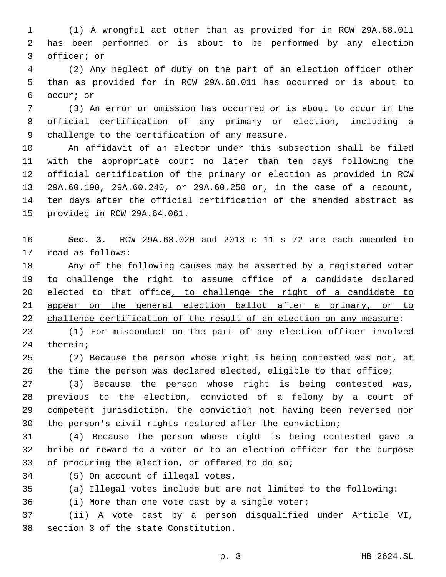(1) A wrongful act other than as provided for in RCW 29A.68.011 has been performed or is about to be performed by any election 3 officer; or

 (2) Any neglect of duty on the part of an election officer other than as provided for in RCW 29A.68.011 has occurred or is about to 6 occur; or

 (3) An error or omission has occurred or is about to occur in the official certification of any primary or election, including a 9 challenge to the certification of any measure.

 An affidavit of an elector under this subsection shall be filed with the appropriate court no later than ten days following the official certification of the primary or election as provided in RCW 29A.60.190, 29A.60.240, or 29A.60.250 or, in the case of a recount, ten days after the official certification of the amended abstract as 15 provided in RCW 29A.64.061.

 **Sec. 3.** RCW 29A.68.020 and 2013 c 11 s 72 are each amended to 17 read as follows:

 Any of the following causes may be asserted by a registered voter to challenge the right to assume office of a candidate declared elected to that office, to challenge the right of a candidate to 21 appear on the general election ballot after a primary, or to challenge certification of the result of an election on any measure:

 (1) For misconduct on the part of any election officer involved 24 therein;

 (2) Because the person whose right is being contested was not, at the time the person was declared elected, eligible to that office;

 (3) Because the person whose right is being contested was, previous to the election, convicted of a felony by a court of competent jurisdiction, the conviction not having been reversed nor the person's civil rights restored after the conviction;

 (4) Because the person whose right is being contested gave a bribe or reward to a voter or to an election officer for the purpose 33 of procuring the election, or offered to do so;

34 (5) On account of illegal votes.

(a) Illegal votes include but are not limited to the following:

(i) More than one vote cast by a single voter;

 (ii) A vote cast by a person disqualified under Article VI, 38 section 3 of the state Constitution.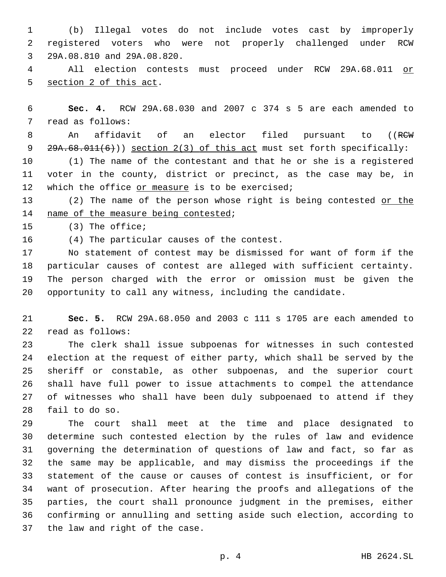(b) Illegal votes do not include votes cast by improperly registered voters who were not properly challenged under RCW 29A.08.810 and 29A.08.820.3

 All election contests must proceed under RCW 29A.68.011 or 5 section 2 of this act.

 **Sec. 4.** RCW 29A.68.030 and 2007 c 374 s 5 are each amended to 7 read as follows:

8 An affidavit of an elector filed pursuant to ((RCW) 9 29A.68.011(6))) section 2(3) of this act must set forth specifically:

 (1) The name of the contestant and that he or she is a registered voter in the county, district or precinct, as the case may be, in 12 which the office or measure is to be exercised;

13 (2) The name of the person whose right is being contested or the 14 name of the measure being contested;

15 (3) The office;

16 (4) The particular causes of the contest.

 No statement of contest may be dismissed for want of form if the particular causes of contest are alleged with sufficient certainty. The person charged with the error or omission must be given the opportunity to call any witness, including the candidate.

 **Sec. 5.** RCW 29A.68.050 and 2003 c 111 s 1705 are each amended to 22 read as follows:

 The clerk shall issue subpoenas for witnesses in such contested election at the request of either party, which shall be served by the sheriff or constable, as other subpoenas, and the superior court shall have full power to issue attachments to compel the attendance of witnesses who shall have been duly subpoenaed to attend if they 28 fail to do so.

 The court shall meet at the time and place designated to determine such contested election by the rules of law and evidence governing the determination of questions of law and fact, so far as the same may be applicable, and may dismiss the proceedings if the statement of the cause or causes of contest is insufficient, or for want of prosecution. After hearing the proofs and allegations of the parties, the court shall pronounce judgment in the premises, either confirming or annulling and setting aside such election, according to 37 the law and right of the case.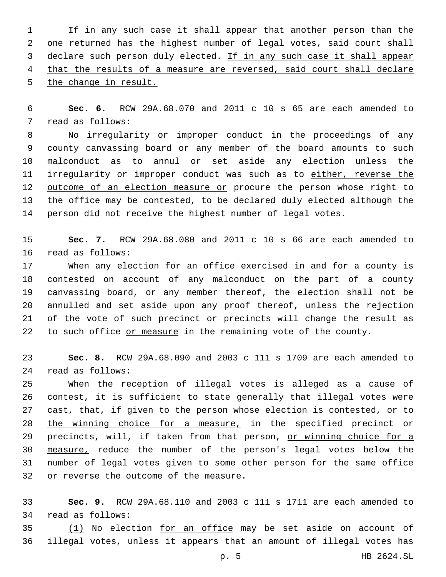If in any such case it shall appear that another person than the one returned has the highest number of legal votes, said court shall 3 declare such person duly elected. If in any such case it shall appear that the results of a measure are reversed, said court shall declare the change in result.

 **Sec. 6.** RCW 29A.68.070 and 2011 c 10 s 65 are each amended to 7 read as follows:

 No irregularity or improper conduct in the proceedings of any county canvassing board or any member of the board amounts to such malconduct as to annul or set aside any election unless the 11 irregularity or improper conduct was such as to either, reverse the 12 outcome of an election measure or procure the person whose right to the office may be contested, to be declared duly elected although the person did not receive the highest number of legal votes.

 **Sec. 7.** RCW 29A.68.080 and 2011 c 10 s 66 are each amended to 16 read as follows:

 When any election for an office exercised in and for a county is contested on account of any malconduct on the part of a county canvassing board, or any member thereof, the election shall not be annulled and set aside upon any proof thereof, unless the rejection of the vote of such precinct or precincts will change the result as 22 to such office or measure in the remaining vote of the county.

 **Sec. 8.** RCW 29A.68.090 and 2003 c 111 s 1709 are each amended to read as follows:24

 When the reception of illegal votes is alleged as a cause of contest, it is sufficient to state generally that illegal votes were 27 cast, that, if given to the person whose election is contested, or to the winning choice for a measure, in the specified precinct or 29 precincts, will, if taken from that person, or winning choice for a measure, reduce the number of the person's legal votes below the number of legal votes given to some other person for the same office 32 or reverse the outcome of the measure.

 **Sec. 9.** RCW 29A.68.110 and 2003 c 111 s 1711 are each amended to 34 read as follows:

35 (1) No election for an office may be set aside on account of illegal votes, unless it appears that an amount of illegal votes has